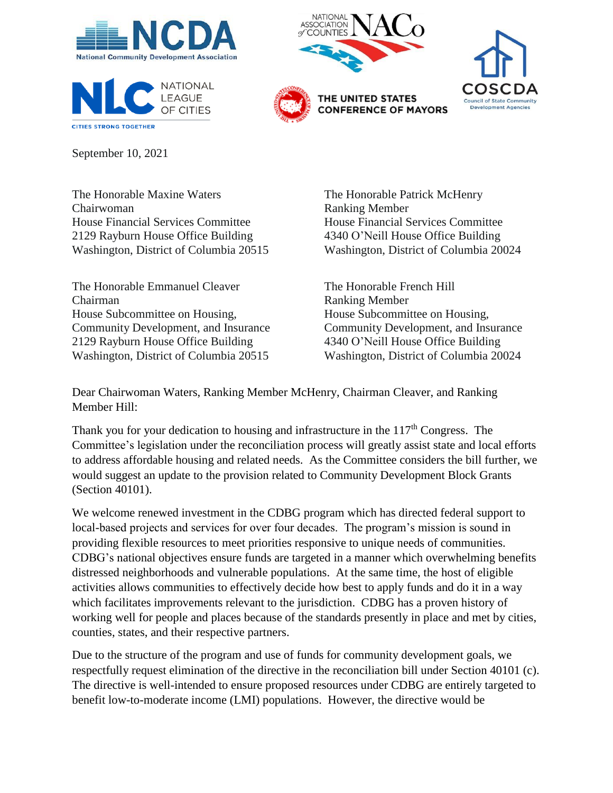





THE UNITED STATES

**CONFERENCE OF MAYORS** 



September 10, 2021

The Honorable Maxine Waters The Honorable Patrick McHenry Chairwoman Ranking Member House Financial Services Committee House Financial Services Committee 2129 Rayburn House Office Building 4340 O'Neill House Office Building

The Honorable Emmanuel Cleaver The Honorable French Hill Chairman Ranking Member House Subcommittee on Housing, House Subcommittee on Housing, Community Development, and Insurance Community Development, and Insurance 2129 Rayburn House Office Building 4340 O'Neill House Office Building Washington, District of Columbia 20515 Washington, District of Columbia 20024

Washington, District of Columbia 20515 Washington, District of Columbia 20024

Dear Chairwoman Waters, Ranking Member McHenry, Chairman Cleaver, and Ranking Member Hill:

Thank you for your dedication to housing and infrastructure in the  $117<sup>th</sup>$  Congress. The Committee's legislation under the reconciliation process will greatly assist state and local efforts to address affordable housing and related needs. As the Committee considers the bill further, we would suggest an update to the provision related to Community Development Block Grants (Section 40101).

We welcome renewed investment in the CDBG program which has directed federal support to local-based projects and services for over four decades. The program's mission is sound in providing flexible resources to meet priorities responsive to unique needs of communities. CDBG's national objectives ensure funds are targeted in a manner which overwhelming benefits distressed neighborhoods and vulnerable populations. At the same time, the host of eligible activities allows communities to effectively decide how best to apply funds and do it in a way which facilitates improvements relevant to the jurisdiction. CDBG has a proven history of working well for people and places because of the standards presently in place and met by cities, counties, states, and their respective partners.

Due to the structure of the program and use of funds for community development goals, we respectfully request elimination of the directive in the reconciliation bill under Section 40101 (c). The directive is well-intended to ensure proposed resources under CDBG are entirely targeted to benefit low-to-moderate income (LMI) populations. However, the directive would be